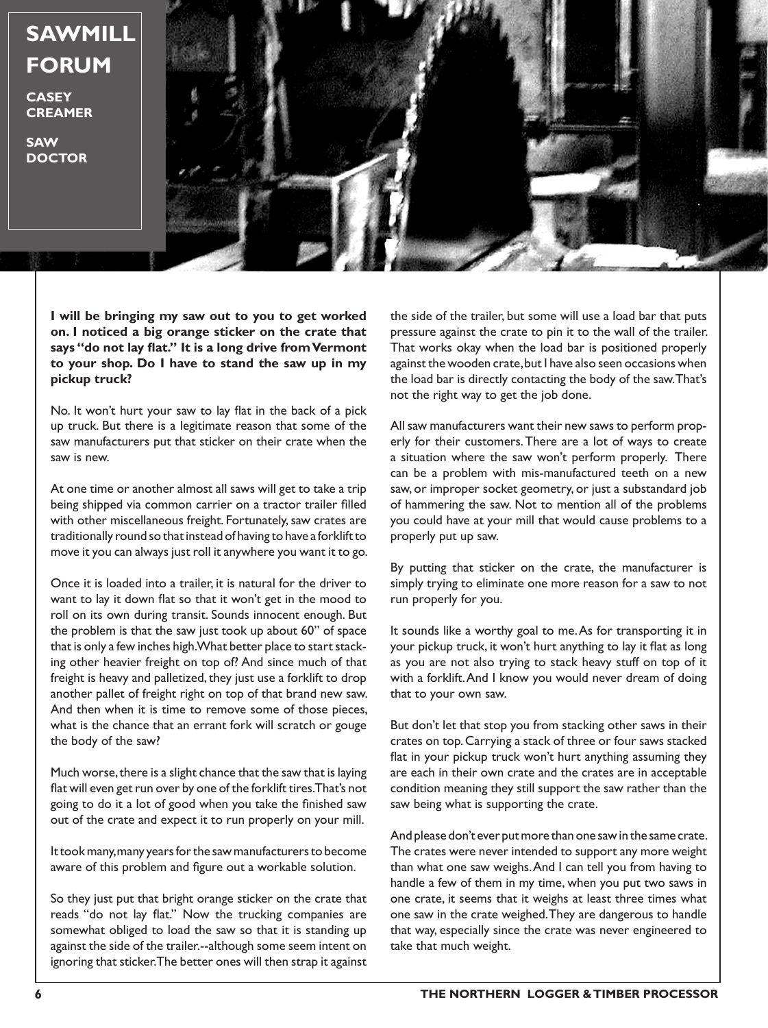

**CASEY CREAMER**

**SAW DOCTOR**

**I will be bringing my saw out to you to get worked on. I noticed a big orange sticker on the crate that says "do not lay flat." It is a long drive from Vermont to your shop. Do I have to stand the saw up in my pickup truck?**

No. It won't hurt your saw to lay flat in the back of a pick up truck. But there is a legitimate reason that some of the saw manufacturers put that sticker on their crate when the saw is new.

At one time or another almost all saws will get to take a trip being shipped via common carrier on a tractor trailer filled with other miscellaneous freight. Fortunately, saw crates are traditionally round so that instead of having to have a forklift to move it you can always just roll it anywhere you want it to go.

Once it is loaded into a trailer, it is natural for the driver to want to lay it down flat so that it won't get in the mood to roll on its own during transit. Sounds innocent enough. But the problem is that the saw just took up about 60" of space that is only a few inches high. What better place to start stacking other heavier freight on top of? And since much of that freight is heavy and palletized, they just use a forklift to drop another pallet of freight right on top of that brand new saw. And then when it is time to remove some of those pieces, what is the chance that an errant fork will scratch or gouge the body of the saw?

Much worse, there is a slight chance that the saw that is laying flat will even get run over by one of the forklift tires. That's not going to do it a lot of good when you take the finished saw out of the crate and expect it to run properly on your mill.

It took many, many years for the saw manufacturers to become aware of this problem and figure out a workable solution.

So they just put that bright orange sticker on the crate that reads "do not lay flat." Now the trucking companies are somewhat obliged to load the saw so that it is standing up against the side of the trailer.--although some seem intent on ignoring that sticker. The better ones will then strap it against

the side of the trailer, but some will use a load bar that puts pressure against the crate to pin it to the wall of the trailer. That works okay when the load bar is positioned properly against the wooden crate, but I have also seen occasions when the load bar is directly contacting the body of the saw. That's not the right way to get the job done.

All saw manufacturers want their new saws to perform properly for their customers. There are a lot of ways to create a situation where the saw won't perform properly. There can be a problem with mis-manufactured teeth on a new saw, or improper socket geometry, or just a substandard job of hammering the saw. Not to mention all of the problems you could have at your mill that would cause problems to a properly put up saw.

By putting that sticker on the crate, the manufacturer is simply trying to eliminate one more reason for a saw to not run properly for you.

It sounds like a worthy goal to me. As for transporting it in your pickup truck, it won't hurt anything to lay it flat as long as you are not also trying to stack heavy stuff on top of it with a forklift. And I know you would never dream of doing that to your own saw.

But don't let that stop you from stacking other saws in their crates on top. Carrying a stack of three or four saws stacked flat in your pickup truck won't hurt anything assuming they are each in their own crate and the crates are in acceptable condition meaning they still support the saw rather than the saw being what is supporting the crate.

And please don't ever put more than one saw in the same crate. The crates were never intended to support any more weight than what one saw weighs. And I can tell you from having to handle a few of them in my time, when you put two saws in one crate, it seems that it weighs at least three times what one saw in the crate weighed. They are dangerous to handle that way, especially since the crate was never engineered to take that much weight.